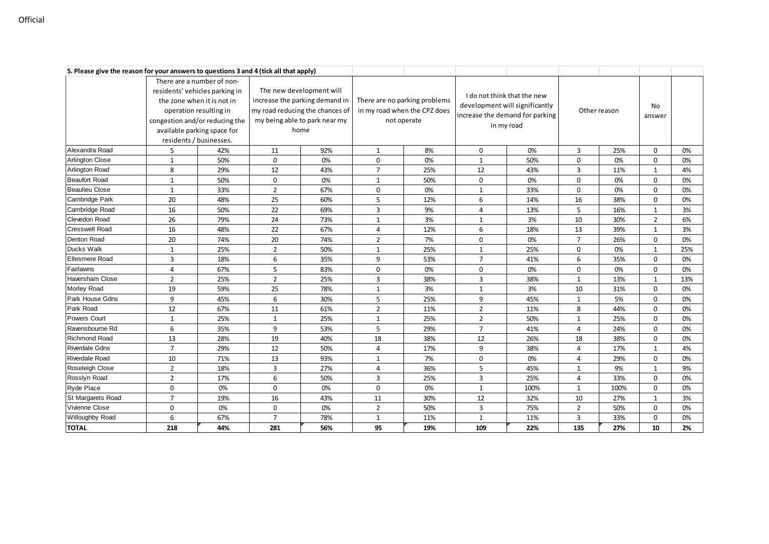| 5. Please give the reason for your answers to questions 3 and 4 (tick all that apply) |                                |     |                                                                                                    |     |                                                               |     |                                                                   |      |                |      |                |     |
|---------------------------------------------------------------------------------------|--------------------------------|-----|----------------------------------------------------------------------------------------------------|-----|---------------------------------------------------------------|-----|-------------------------------------------------------------------|------|----------------|------|----------------|-----|
|                                                                                       | There are a number of non-     |     |                                                                                                    |     |                                                               |     |                                                                   |      |                |      |                |     |
|                                                                                       | residents' vehicles parking in |     | The new development will                                                                           |     |                                                               |     | I do not think that the new                                       |      |                |      |                |     |
|                                                                                       | the zone when it is not in     |     | increase the parking demand in<br>my road reducing the chances of<br>my being able to park near my |     | There are no parking problems<br>in my road when the CPZ does |     | development will significantly<br>increase the demand for parking |      | Other reason   |      |                |     |
|                                                                                       | operation resulting in         |     |                                                                                                    |     |                                                               |     |                                                                   |      |                |      | No             |     |
|                                                                                       | congestion and/or reducing the |     |                                                                                                    |     | not operate                                                   |     | in my road                                                        |      |                |      | answer         |     |
|                                                                                       | available parking space for    |     | home                                                                                               |     |                                                               |     |                                                                   |      |                |      |                |     |
|                                                                                       | residents / businesses.        |     |                                                                                                    |     |                                                               |     |                                                                   |      |                |      |                |     |
| Alexandra Road                                                                        | 5                              | 42% | 11                                                                                                 | 92% | $\mathbf{1}$                                                  | 8%  | 0                                                                 | 0%   | 3              | 25%  | 0              | 0%  |
| <b>Arlington Close</b>                                                                | $\mathbf{1}$                   | 50% | 0                                                                                                  | 0%  | 0                                                             | 0%  | $\mathbf{1}$                                                      | 50%  | 0              | 0%   | 0              | 0%  |
| <b>Arlington Road</b>                                                                 | 8                              | 29% | 12                                                                                                 | 43% | $\overline{7}$                                                | 25% | 12                                                                | 43%  | 3              | 11%  | $\mathbf{1}$   | 4%  |
| <b>Beaufort Road</b>                                                                  | $\mathbf{1}$                   | 50% | $\mathbf 0$                                                                                        | 0%  | $\mathbf{1}$                                                  | 50% | 0                                                                 | 0%   | 0              | 0%   | 0              | 0%  |
| <b>Beaulieu Close</b>                                                                 | $\mathbf{1}$                   | 33% | $\overline{2}$                                                                                     | 67% | 0                                                             | 0%  | $\mathbf{1}$                                                      | 33%  | 0              | 0%   | 0              | 0%  |
| Cambridge Park                                                                        | 20                             | 48% | 25                                                                                                 | 60% | 5                                                             | 12% | 6                                                                 | 14%  | 16             | 38%  | 0              | 0%  |
| Cambridge Road                                                                        | 16                             | 50% | 22                                                                                                 | 69% | 3                                                             | 9%  | 4                                                                 | 13%  | 5              | 16%  | $\mathbf{1}$   | 3%  |
| Clevedon Road                                                                         | 26                             | 79% | 24                                                                                                 | 73% | 1                                                             | 3%  | 1                                                                 | 3%   | 10             | 30%  | $\overline{2}$ | 6%  |
| <b>Cresswell Road</b>                                                                 | 16                             | 48% | 22                                                                                                 | 67% | 4                                                             | 12% | 6                                                                 | 18%  | 13             | 39%  | $\mathbf{1}$   | 3%  |
| Denton Road                                                                           | 20                             | 74% | 20                                                                                                 | 74% | $\overline{2}$                                                | 7%  | 0                                                                 | 0%   | $\overline{7}$ | 26%  | $\Omega$       | 0%  |
| Ducks Walk                                                                            | $\mathbf{1}$                   | 25% | $\overline{2}$                                                                                     | 50% | $\mathbf{1}$                                                  | 25% | $\mathbf{1}$                                                      | 25%  | 0              | 0%   | $\mathbf{1}$   | 25% |
| <b>Ellesmere Road</b>                                                                 | 3                              | 18% | 6                                                                                                  | 35% | 9                                                             | 53% | $\overline{7}$                                                    | 41%  | 6              | 35%  | 0              | 0%  |
| Fairlawns                                                                             | $\overline{4}$                 | 67% | 5                                                                                                  | 83% | 0                                                             | 0%  | 0                                                                 | 0%   | 0              | 0%   | 0              | 0%  |
| Haversham Close                                                                       | $\overline{2}$                 | 25% | $\overline{2}$                                                                                     | 25% | 3                                                             | 38% | 3                                                                 | 38%  | $\mathbf{1}$   | 13%  | 1              | 13% |
| Morley Road                                                                           | 19                             | 59% | 25                                                                                                 | 78% | $\mathbf{1}$                                                  | 3%  | $\mathbf{1}$                                                      | 3%   | 10             | 31%  | 0              | 0%  |
| Park House Gdns                                                                       | 9                              | 45% | 6                                                                                                  | 30% | 5                                                             | 25% | 9                                                                 | 45%  | 1              | 5%   | 0              | 0%  |
| Park Road                                                                             | 12                             | 67% | 11                                                                                                 | 61% | $\overline{2}$                                                | 11% | $\overline{2}$                                                    | 11%  | 8              | 44%  | 0              | 0%  |
| Powers Court                                                                          | $\mathbf{1}$                   | 25% | $\mathbf{1}$                                                                                       | 25% | $\mathbf{1}$                                                  | 25% | $\overline{2}$                                                    | 50%  | $\mathbf{1}$   | 25%  | 0              | 0%  |
| Ravensbourne Rd                                                                       | 6                              | 35% | 9                                                                                                  | 53% | 5                                                             | 29% | $\overline{7}$                                                    | 41%  | 4              | 24%  | 0              | 0%  |
| <b>Richmond Road</b>                                                                  | 13                             | 28% | 19                                                                                                 | 40% | 18                                                            | 38% | 12                                                                | 26%  | 18             | 38%  | 0              | 0%  |
| <b>Riverdale Gdns</b>                                                                 | $\overline{7}$                 | 29% | 12                                                                                                 | 50% | 4                                                             | 17% | 9                                                                 | 38%  | 4              | 17%  | $\mathbf{1}$   | 4%  |
| <b>Riverdale Road</b>                                                                 | 10                             | 71% | 13                                                                                                 | 93% | 1                                                             | 7%  | 0                                                                 | 0%   | 4              | 29%  | 0              | 0%  |
| Roseleigh Close                                                                       | $\overline{2}$                 | 18% | 3                                                                                                  | 27% | 4                                                             | 36% | 5                                                                 | 45%  | $\mathbf{1}$   | 9%   | $\mathbf{1}$   | 9%  |
| Rosslyn Road                                                                          | $\overline{2}$                 | 17% | 6                                                                                                  | 50% | 3                                                             | 25% | 3                                                                 | 25%  | 4              | 33%  | 0              | 0%  |
| Ryde Place                                                                            | 0                              | 0%  | 0                                                                                                  | 0%  | 0                                                             | 0%  | $\mathbf{1}$                                                      | 100% | $\mathbf{1}$   | 100% | 0              | 0%  |
| St Margarets Road                                                                     | $\overline{7}$                 | 19% | 16                                                                                                 | 43% | 11                                                            | 30% | 12                                                                | 32%  | 10             | 27%  | $\mathbf{1}$   | 3%  |
| Vivienne Close                                                                        | 0                              | 0%  | 0                                                                                                  | 0%  | $\overline{2}$                                                | 50% | 3                                                                 | 75%  | $\overline{2}$ | 50%  | 0              | 0%  |
| Willoughby Road                                                                       | 6                              | 67% | $\overline{7}$                                                                                     | 78% | 1                                                             | 11% | $\mathbf{1}$                                                      | 11%  | 3              | 33%  | 0              | 0%  |
| <b>TOTAL</b>                                                                          | 218                            | 44% | 281                                                                                                | 56% | 95                                                            | 19% | 109                                                               | 22%  | 135            | 27%  | 10             | 2%  |